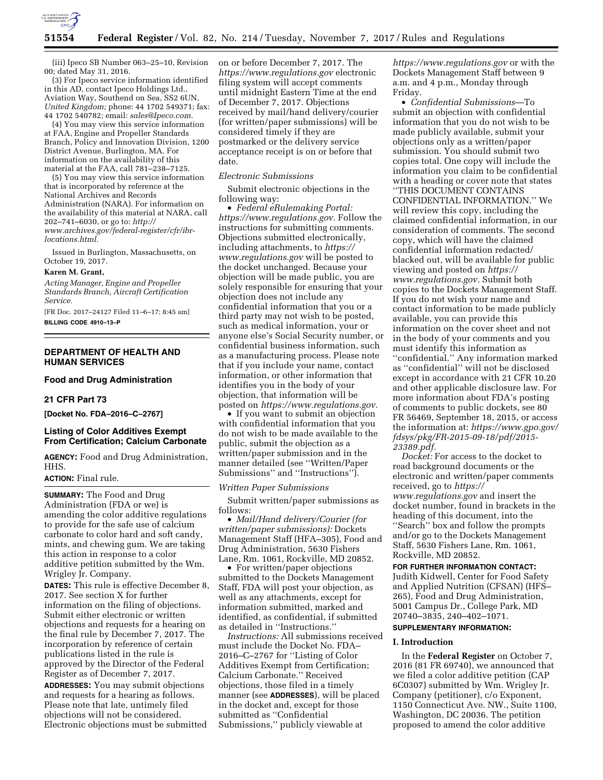

(iii) Ipeco SB Number 063–25–10, Revision 00; dated May 31, 2016.

(3) For Ipeco service information identified in this AD, contact Ipeco Holdings Ltd., Aviation Way, Southend on Sea, SS2 6UN, *United Kingdom;* phone: 44 1702 549371; fax: 44 1702 540782; email: *[sales@Ipeco.com.](mailto:sales@Ipeco.com)* 

(4) You may view this service information at FAA, Engine and Propeller Standards Branch, Policy and Innovation Division, 1200 District Avenue, Burlington, MA. For information on the availability of this material at the FAA, call 781–238–7125.

(5) You may view this service information that is incorporated by reference at the National Archives and Records Administration (NARA). For information on the availability of this material at NARA, call 202–741–6030, or go to: *[http://](http://www.archives.gov/federal-register/cfr/ibr-locations.html) [www.archives.gov/federal-register/cfr/ibr](http://www.archives.gov/federal-register/cfr/ibr-locations.html)[locations.html.](http://www.archives.gov/federal-register/cfr/ibr-locations.html)* 

Issued in Burlington, Massachusetts, on October 19, 2017.

#### **Karen M. Grant,**

*Acting Manager, Engine and Propeller Standards Branch, Aircraft Certification Service.* 

[FR Doc. 2017–24127 Filed 11–6–17; 8:45 am] **BILLING CODE 4910–13–P** 

# **DEPARTMENT OF HEALTH AND HUMAN SERVICES**

## **Food and Drug Administration**

## **21 CFR Part 73**

**[Docket No. FDA–2016–C–2767]** 

## **Listing of Color Additives Exempt From Certification; Calcium Carbonate**

**AGENCY:** Food and Drug Administration, HHS.

### **ACTION:** Final rule.

**SUMMARY:** The Food and Drug Administration (FDA or we) is amending the color additive regulations to provide for the safe use of calcium carbonate to color hard and soft candy, mints, and chewing gum. We are taking this action in response to a color additive petition submitted by the Wm. Wrigley Jr. Company.

**DATES:** This rule is effective December 8, 2017. See section X for further information on the filing of objections. Submit either electronic or written objections and requests for a hearing on the final rule by December 7, 2017. The incorporation by reference of certain publications listed in the rule is approved by the Director of the Federal Register as of December 7, 2017.

**ADDRESSES:** You may submit objections and requests for a hearing as follows. Please note that late, untimely filed objections will not be considered. Electronic objections must be submitted on or before December 7, 2017. The *<https://www.regulations.gov>* electronic filing system will accept comments until midnight Eastern Time at the end of December 7, 2017. Objections received by mail/hand delivery/courier (for written/paper submissions) will be considered timely if they are postmarked or the delivery service acceptance receipt is on or before that date.

#### *Electronic Submissions*

Submit electronic objections in the following way:

• *Federal eRulemaking Portal: [https://www.regulations.gov.](https://www.regulations.gov)* Follow the instructions for submitting comments. Objections submitted electronically, including attachments, to *[https://](https://www.regulations.gov) [www.regulations.gov](https://www.regulations.gov)* will be posted to the docket unchanged. Because your objection will be made public, you are solely responsible for ensuring that your objection does not include any confidential information that you or a third party may not wish to be posted, such as medical information, your or anyone else's Social Security number, or confidential business information, such as a manufacturing process. Please note that if you include your name, contact information, or other information that identifies you in the body of your objection, that information will be posted on *[https://www.regulations.gov.](https://www.regulations.gov)* 

• If you want to submit an objection with confidential information that you do not wish to be made available to the public, submit the objection as a written/paper submission and in the manner detailed (see ''Written/Paper Submissions'' and ''Instructions'').

#### *Written Paper Submissions*

Submit written/paper submissions as follows:

• *Mail/Hand delivery/Courier (for written/paper submissions):* Dockets Management Staff (HFA–305), Food and Drug Administration, 5630 Fishers Lane, Rm. 1061, Rockville, MD 20852.

• For written/paper objections submitted to the Dockets Management Staff, FDA will post your objection, as well as any attachments, except for information submitted, marked and identified, as confidential, if submitted as detailed in ''Instructions.''

*Instructions:* All submissions received must include the Docket No. FDA– 2016–C–2767 for ''Listing of Color Additives Exempt from Certification; Calcium Carbonate.'' Received objections, those filed in a timely manner (see **ADDRESSES**), will be placed in the docket and, except for those submitted as ''Confidential Submissions,'' publicly viewable at

*<https://www.regulations.gov>* or with the Dockets Management Staff between 9 a.m. and 4 p.m., Monday through Friday.

• *Confidential Submissions*—To submit an objection with confidential information that you do not wish to be made publicly available, submit your objections only as a written/paper submission. You should submit two copies total. One copy will include the information you claim to be confidential with a heading or cover note that states ''THIS DOCUMENT CONTAINS CONFIDENTIAL INFORMATION.'' We will review this copy, including the claimed confidential information, in our consideration of comments. The second copy, which will have the claimed confidential information redacted/ blacked out, will be available for public viewing and posted on *[https://](https://www.regulations.gov) [www.regulations.gov.](https://www.regulations.gov)* Submit both copies to the Dockets Management Staff. If you do not wish your name and contact information to be made publicly available, you can provide this information on the cover sheet and not in the body of your comments and you must identify this information as ''confidential.'' Any information marked as ''confidential'' will not be disclosed except in accordance with 21 CFR 10.20 and other applicable disclosure law. For more information about FDA's posting of comments to public dockets, see 80 FR 56469, September 18, 2015, or access the information at: *[https://www.gpo.gov/](https://www.gpo.gov/fdsys/pkg/FR-2015-09-18/pdf/2015-23389.pdf) [fdsys/pkg/FR-2015-09-18/pdf/2015-](https://www.gpo.gov/fdsys/pkg/FR-2015-09-18/pdf/2015-23389.pdf)  [23389.pdf.](https://www.gpo.gov/fdsys/pkg/FR-2015-09-18/pdf/2015-23389.pdf)* 

*Docket:* For access to the docket to read background documents or the electronic and written/paper comments received, go to *[https://](https://www.regulations.gov) [www.regulations.gov](https://www.regulations.gov)* and insert the docket number, found in brackets in the heading of this document, into the ''Search'' box and follow the prompts and/or go to the Dockets Management Staff, 5630 Fishers Lane, Rm. 1061, Rockville, MD 20852.

#### **FOR FURTHER INFORMATION CONTACT:**

Judith Kidwell, Center for Food Safety and Applied Nutrition (CFSAN) (HFS– 265), Food and Drug Administration, 5001 Campus Dr., College Park, MD 20740–3835, 240–402–1071.

# **SUPPLEMENTARY INFORMATION:**

### **I. Introduction**

In the **Federal Register** on October 7, 2016 (81 FR 69740), we announced that we filed a color additive petition (CAP 6C0307) submitted by Wm. Wrigley Jr. Company (petitioner), c/o Exponent, 1150 Connecticut Ave. NW., Suite 1100, Washington, DC 20036. The petition proposed to amend the color additive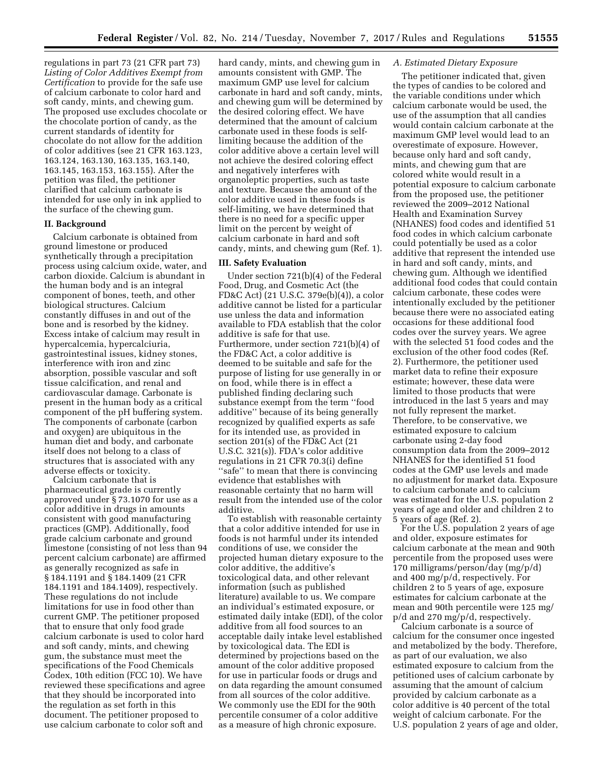regulations in part 73 (21 CFR part 73) *Listing of Color Additives Exempt from Certification* to provide for the safe use of calcium carbonate to color hard and soft candy, mints, and chewing gum. The proposed use excludes chocolate or the chocolate portion of candy, as the current standards of identity for chocolate do not allow for the addition of color additives (see 21 CFR 163.123, 163.124, 163.130, 163.135, 163.140, 163.145, 163.153, 163.155). After the petition was filed, the petitioner clarified that calcium carbonate is intended for use only in ink applied to the surface of the chewing gum.

## **II. Background**

Calcium carbonate is obtained from ground limestone or produced synthetically through a precipitation process using calcium oxide, water, and carbon dioxide. Calcium is abundant in the human body and is an integral component of bones, teeth, and other biological structures. Calcium constantly diffuses in and out of the bone and is resorbed by the kidney. Excess intake of calcium may result in hypercalcemia, hypercalciuria, gastrointestinal issues, kidney stones, interference with iron and zinc absorption, possible vascular and soft tissue calcification, and renal and cardiovascular damage. Carbonate is present in the human body as a critical component of the pH buffering system. The components of carbonate (carbon and oxygen) are ubiquitous in the human diet and body, and carbonate itself does not belong to a class of structures that is associated with any adverse effects or toxicity.

Calcium carbonate that is pharmaceutical grade is currently approved under § 73.1070 for use as a color additive in drugs in amounts consistent with good manufacturing practices (GMP). Additionally, food grade calcium carbonate and ground limestone (consisting of not less than 94 percent calcium carbonate) are affirmed as generally recognized as safe in § 184.1191 and § 184.1409 (21 CFR 184.1191 and 184.1409), respectively. These regulations do not include limitations for use in food other than current GMP. The petitioner proposed that to ensure that only food grade calcium carbonate is used to color hard and soft candy, mints, and chewing gum, the substance must meet the specifications of the Food Chemicals Codex, 10th edition (FCC 10). We have reviewed these specifications and agree that they should be incorporated into the regulation as set forth in this document. The petitioner proposed to use calcium carbonate to color soft and

hard candy, mints, and chewing gum in amounts consistent with GMP. The maximum GMP use level for calcium carbonate in hard and soft candy, mints, and chewing gum will be determined by the desired coloring effect. We have determined that the amount of calcium carbonate used in these foods is selflimiting because the addition of the color additive above a certain level will not achieve the desired coloring effect and negatively interferes with organoleptic properties, such as taste and texture. Because the amount of the color additive used in these foods is self-limiting, we have determined that there is no need for a specific upper limit on the percent by weight of calcium carbonate in hard and soft candy, mints, and chewing gum (Ref. 1).

### **III. Safety Evaluation**

Under section 721(b)(4) of the Federal Food, Drug, and Cosmetic Act (the FD&C Act) (21 U.S.C. 379e(b)(4)), a color additive cannot be listed for a particular use unless the data and information available to FDA establish that the color additive is safe for that use. Furthermore, under section 721(b)(4) of the FD&C Act, a color additive is deemed to be suitable and safe for the purpose of listing for use generally in or on food, while there is in effect a published finding declaring such substance exempt from the term ''food additive'' because of its being generally recognized by qualified experts as safe for its intended use, as provided in section 201(s) of the FD&C Act (21 U.S.C. 321(s)). FDA's color additive regulations in 21 CFR 70.3(i) define ''safe'' to mean that there is convincing evidence that establishes with reasonable certainty that no harm will result from the intended use of the color additive.

To establish with reasonable certainty that a color additive intended for use in foods is not harmful under its intended conditions of use, we consider the projected human dietary exposure to the color additive, the additive's toxicological data, and other relevant information (such as published literature) available to us. We compare an individual's estimated exposure, or estimated daily intake (EDI), of the color additive from all food sources to an acceptable daily intake level established by toxicological data. The EDI is determined by projections based on the amount of the color additive proposed for use in particular foods or drugs and on data regarding the amount consumed from all sources of the color additive. We commonly use the EDI for the 90th percentile consumer of a color additive as a measure of high chronic exposure.

### *A. Estimated Dietary Exposure*

The petitioner indicated that, given the types of candies to be colored and the variable conditions under which calcium carbonate would be used, the use of the assumption that all candies would contain calcium carbonate at the maximum GMP level would lead to an overestimate of exposure. However, because only hard and soft candy, mints, and chewing gum that are colored white would result in a potential exposure to calcium carbonate from the proposed use, the petitioner reviewed the 2009–2012 National Health and Examination Survey (NHANES) food codes and identified 51 food codes in which calcium carbonate could potentially be used as a color additive that represent the intended use in hard and soft candy, mints, and chewing gum. Although we identified additional food codes that could contain calcium carbonate, these codes were intentionally excluded by the petitioner because there were no associated eating occasions for these additional food codes over the survey years. We agree with the selected 51 food codes and the exclusion of the other food codes (Ref. 2). Furthermore, the petitioner used market data to refine their exposure estimate; however, these data were limited to those products that were introduced in the last 5 years and may not fully represent the market. Therefore, to be conservative, we estimated exposure to calcium carbonate using 2-day food consumption data from the 2009–2012 NHANES for the identified 51 food codes at the GMP use levels and made no adjustment for market data. Exposure to calcium carbonate and to calcium was estimated for the U.S. population 2 years of age and older and children 2 to 5 years of age (Ref. 2).

For the U.S. population 2 years of age and older, exposure estimates for calcium carbonate at the mean and 90th percentile from the proposed uses were 170 milligrams/person/day (mg/p/d) and 400 mg/p/d, respectively. For children 2 to 5 years of age, exposure estimates for calcium carbonate at the mean and 90th percentile were 125 mg/ p/d and 270 mg/p/d, respectively.

Calcium carbonate is a source of calcium for the consumer once ingested and metabolized by the body. Therefore, as part of our evaluation, we also estimated exposure to calcium from the petitioned uses of calcium carbonate by assuming that the amount of calcium provided by calcium carbonate as a color additive is 40 percent of the total weight of calcium carbonate. For the U.S. population 2 years of age and older,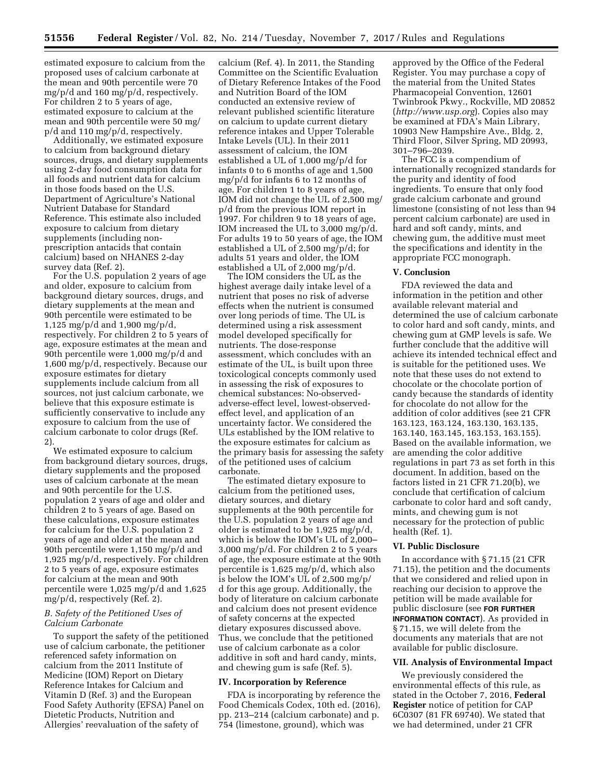estimated exposure to calcium from the proposed uses of calcium carbonate at the mean and 90th percentile were 70 mg/p/d and 160 mg/p/d, respectively. For children 2 to 5 years of age, estimated exposure to calcium at the mean and 90th percentile were 50 mg/ p/d and 110 mg/p/d, respectively.

Additionally, we estimated exposure to calcium from background dietary sources, drugs, and dietary supplements using 2-day food consumption data for all foods and nutrient data for calcium in those foods based on the U.S. Department of Agriculture's National Nutrient Database for Standard Reference. This estimate also included exposure to calcium from dietary supplements (including nonprescription antacids that contain calcium) based on NHANES 2-day survey data (Ref. 2).

For the U.S. population 2 years of age and older, exposure to calcium from background dietary sources, drugs, and dietary supplements at the mean and 90th percentile were estimated to be 1,125 mg/p/d and 1,900 mg/p/d, respectively. For children 2 to 5 years of age, exposure estimates at the mean and 90th percentile were 1,000 mg/p/d and 1,600 mg/p/d, respectively. Because our exposure estimates for dietary supplements include calcium from all sources, not just calcium carbonate, we believe that this exposure estimate is sufficiently conservative to include any exposure to calcium from the use of calcium carbonate to color drugs (Ref. 2).

We estimated exposure to calcium from background dietary sources, drugs, dietary supplements and the proposed uses of calcium carbonate at the mean and 90th percentile for the U.S. population 2 years of age and older and children 2 to 5 years of age. Based on these calculations, exposure estimates for calcium for the U.S. population 2 years of age and older at the mean and 90th percentile were 1,150 mg/p/d and 1,925 mg/p/d, respectively. For children 2 to 5 years of age, exposure estimates for calcium at the mean and 90th percentile were 1,025 mg/p/d and 1,625 mg/p/d, respectively (Ref. 2).

## *B. Safety of the Petitioned Uses of Calcium Carbonate*

To support the safety of the petitioned use of calcium carbonate, the petitioner referenced safety information on calcium from the 2011 Institute of Medicine (IOM) Report on Dietary Reference Intakes for Calcium and Vitamin D (Ref. 3) and the European Food Safety Authority (EFSA) Panel on Dietetic Products, Nutrition and Allergies' reevaluation of the safety of

calcium (Ref. 4). In 2011, the Standing Committee on the Scientific Evaluation of Dietary Reference Intakes of the Food and Nutrition Board of the IOM conducted an extensive review of relevant published scientific literature on calcium to update current dietary reference intakes and Upper Tolerable Intake Levels (UL). In their 2011 assessment of calcium, the IOM established a UL of 1,000 mg/p/d for infants 0 to 6 months of age and 1,500 mg/p/d for infants 6 to 12 months of age. For children 1 to 8 years of age, IOM did not change the UL of 2,500 mg/ p/d from the previous IOM report in 1997. For children 9 to 18 years of age, IOM increased the UL to 3,000 mg/p/d. For adults 19 to 50 years of age, the IOM established a UL of 2,500 mg/p/d; for adults 51 years and older, the IOM established a UL of 2,000 mg/p/d.

The IOM considers the UL as the highest average daily intake level of a nutrient that poses no risk of adverse effects when the nutrient is consumed over long periods of time. The UL is determined using a risk assessment model developed specifically for nutrients. The dose-response assessment, which concludes with an estimate of the UL, is built upon three toxicological concepts commonly used in assessing the risk of exposures to chemical substances: No-observedadverse-effect level, lowest-observedeffect level, and application of an uncertainty factor. We considered the ULs established by the IOM relative to the exposure estimates for calcium as the primary basis for assessing the safety of the petitioned uses of calcium carbonate.

The estimated dietary exposure to calcium from the petitioned uses, dietary sources, and dietary supplements at the 90th percentile for the U.S. population 2 years of age and older is estimated to be 1,925 mg/p/d, which is below the IOM's UL of 2,000– 3,000 mg/p/d. For children 2 to 5 years of age, the exposure estimate at the 90th percentile is 1,625 mg/p/d, which also is below the IOM's UL of 2,500 mg/p/ d for this age group. Additionally, the body of literature on calcium carbonate and calcium does not present evidence of safety concerns at the expected dietary exposures discussed above. Thus, we conclude that the petitioned use of calcium carbonate as a color additive in soft and hard candy, mints, and chewing gum is safe (Ref. 5).

#### **IV. Incorporation by Reference**

FDA is incorporating by reference the Food Chemicals Codex, 10th ed. (2016), pp. 213–214 (calcium carbonate) and p. 754 (limestone, ground), which was

approved by the Office of the Federal Register. You may purchase a copy of the material from the United States Pharmacopeial Convention, 12601 Twinbrook Pkwy., Rockville, MD 20852 (*<http://www.usp.org>*). Copies also may be examined at FDA's Main Library, 10903 New Hampshire Ave., Bldg. 2, Third Floor, Silver Spring, MD 20993, 301–796–2039.

The FCC is a compendium of internationally recognized standards for the purity and identity of food ingredients. To ensure that only food grade calcium carbonate and ground limestone (consisting of not less than 94 percent calcium carbonate) are used in hard and soft candy, mints, and chewing gum, the additive must meet the specifications and identity in the appropriate FCC monograph.

#### **V. Conclusion**

FDA reviewed the data and information in the petition and other available relevant material and determined the use of calcium carbonate to color hard and soft candy, mints, and chewing gum at GMP levels is safe. We further conclude that the additive will achieve its intended technical effect and is suitable for the petitioned uses. We note that these uses do not extend to chocolate or the chocolate portion of candy because the standards of identity for chocolate do not allow for the addition of color additives (see 21 CFR 163.123, 163.124, 163.130, 163.135, 163.140, 163.145, 163.153, 163.155). Based on the available information, we are amending the color additive regulations in part 73 as set forth in this document. In addition, based on the factors listed in 21 CFR 71.20(b), we conclude that certification of calcium carbonate to color hard and soft candy, mints, and chewing gum is not necessary for the protection of public health (Ref. 1).

## **VI. Public Disclosure**

In accordance with § 71.15 (21 CFR 71.15), the petition and the documents that we considered and relied upon in reaching our decision to approve the petition will be made available for public disclosure (see **FOR FURTHER INFORMATION CONTACT**). As provided in § 71.15, we will delete from the documents any materials that are not available for public disclosure.

### **VII. Analysis of Environmental Impact**

We previously considered the environmental effects of this rule, as stated in the October 7, 2016, **Federal Register** notice of petition for CAP 6C0307 (81 FR 69740). We stated that we had determined, under 21 CFR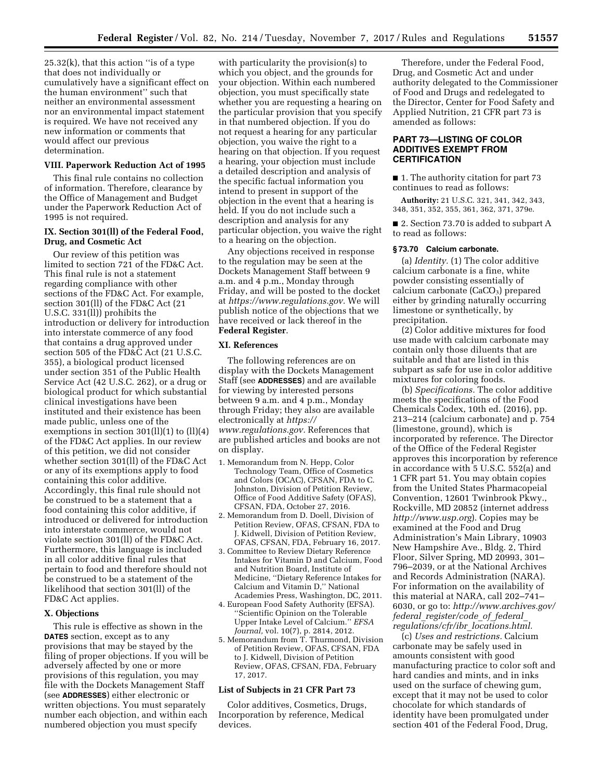$25.32(k)$ , that this action "is of a type that does not individually or cumulatively have a significant effect on the human environment'' such that neither an environmental assessment nor an environmental impact statement is required. We have not received any new information or comments that would affect our previous determination.

### **VIII. Paperwork Reduction Act of 1995**

This final rule contains no collection of information. Therefore, clearance by the Office of Management and Budget under the Paperwork Reduction Act of 1995 is not required.

## **IX. Section 301(ll) of the Federal Food, Drug, and Cosmetic Act**

Our review of this petition was limited to section 721 of the FD&C Act. This final rule is not a statement regarding compliance with other sections of the FD&C Act. For example, section 301(ll) of the FD&C Act (21 U.S.C. 331(ll)) prohibits the introduction or delivery for introduction into interstate commerce of any food that contains a drug approved under section 505 of the FD&C Act (21 U.S.C. 355), a biological product licensed under section 351 of the Public Health Service Act (42 U.S.C. 262), or a drug or biological product for which substantial clinical investigations have been instituted and their existence has been made public, unless one of the exemptions in section  $301(11)(1)$  to  $(11)(4)$ of the FD&C Act applies. In our review of this petition, we did not consider whether section 301(ll) of the FD&C Act or any of its exemptions apply to food containing this color additive. Accordingly, this final rule should not be construed to be a statement that a food containing this color additive, if introduced or delivered for introduction into interstate commerce, would not violate section 301(ll) of the FD&C Act. Furthermore, this language is included in all color additive final rules that pertain to food and therefore should not be construed to be a statement of the likelihood that section 301(ll) of the FD&C Act applies.

### **X. Objections**

This rule is effective as shown in the **DATES** section, except as to any provisions that may be stayed by the filing of proper objections. If you will be adversely affected by one or more provisions of this regulation, you may file with the Dockets Management Staff (see **ADDRESSES**) either electronic or written objections. You must separately number each objection, and within each numbered objection you must specify

with particularity the provision(s) to which you object, and the grounds for your objection. Within each numbered objection, you must specifically state whether you are requesting a hearing on the particular provision that you specify in that numbered objection. If you do not request a hearing for any particular objection, you waive the right to a hearing on that objection. If you request a hearing, your objection must include a detailed description and analysis of the specific factual information you intend to present in support of the objection in the event that a hearing is held. If you do not include such a description and analysis for any particular objection, you waive the right to a hearing on the objection.

Any objections received in response to the regulation may be seen at the Dockets Management Staff between 9 a.m. and 4 p.m., Monday through Friday, and will be posted to the docket at *[https://www.regulations.gov.](https://www.regulations.gov)* We will publish notice of the objections that we have received or lack thereof in the **Federal Register**.

#### **XI. References**

The following references are on display with the Dockets Management Staff (see **ADDRESSES**) and are available for viewing by interested persons between 9 a.m. and 4 p.m., Monday through Friday; they also are available electronically at *[https://](https://www.regulations.gov) [www.regulations.gov.](https://www.regulations.gov)* References that are published articles and books are not on display.

- 1. Memorandum from N. Hepp, Color Technology Team, Office of Cosmetics and Colors (OCAC), CFSAN, FDA to C. Johnston, Division of Petition Review, Office of Food Additive Safety (OFAS), CFSAN, FDA, October 27, 2016.
- 2. Memorandum from D. Doell, Division of Petition Review, OFAS, CFSAN, FDA to J. Kidwell, Division of Petition Review, OFAS, CFSAN, FDA, February 16, 2017.
- 3. Committee to Review Dietary Reference Intakes for Vitamin D and Calcium, Food and Nutrition Board, Institute of Medicine, ''Dietary Reference Intakes for Calcium and Vitamin D,'' National Academies Press, Washington, DC, 2011.
- 4. European Food Safety Authority (EFSA). ''Scientific Opinion on the Tolerable Upper Intake Level of Calcium.'' *EFSA Journal,* vol. 10(7), p. 2814, 2012.
- 5. Memorandum from T. Thurmond, Division of Petition Review, OFAS, CFSAN, FDA to J. Kidwell, Division of Petition Review, OFAS, CFSAN, FDA, February 17, 2017.

# **List of Subjects in 21 CFR Part 73**

Color additives, Cosmetics, Drugs, Incorporation by reference, Medical devices.

Therefore, under the Federal Food, Drug, and Cosmetic Act and under authority delegated to the Commissioner of Food and Drugs and redelegated to the Director, Center for Food Safety and Applied Nutrition, 21 CFR part 73 is amended as follows:

## **PART 73—LISTING OF COLOR ADDITIVES EXEMPT FROM CERTIFICATION**

■ 1. The authority citation for part 73 continues to read as follows:

**Authority:** 21 U.S.C. 321, 341, 342, 343, 348, 351, 352, 355, 361, 362, 371, 379e.

■ 2. Section 73.70 is added to subpart A to read as follows:

## **§ 73.70 Calcium carbonate.**

(a) *Identity.* (1) The color additive calcium carbonate is a fine, white powder consisting essentially of calcium carbonate  $(CaCO<sub>3</sub>)$  prepared either by grinding naturally occurring limestone or synthetically, by precipitation.

(2) Color additive mixtures for food use made with calcium carbonate may contain only those diluents that are suitable and that are listed in this subpart as safe for use in color additive mixtures for coloring foods.

(b) *Specifications.* The color additive meets the specifications of the Food Chemicals Codex, 10th ed. (2016), pp. 213–214 (calcium carbonate) and p. 754 (limestone, ground), which is incorporated by reference. The Director of the Office of the Federal Register approves this incorporation by reference in accordance with 5 U.S.C. 552(a) and 1 CFR part 51. You may obtain copies from the United States Pharmacopeial Convention, 12601 Twinbrook Pkwy., Rockville, MD 20852 (internet address *<http://www.usp.org>*). Copies may be examined at the Food and Drug Administration's Main Library, 10903 New Hampshire Ave., Bldg. 2, Third Floor, Silver Spring, MD 20993, 301– 796–2039, or at the National Archives and Records Administration (NARA). For information on the availability of this material at NARA, call 202–741– 6030, or go to: *[http://www.archives.gov/](http://www.archives.gov/federal_register/code_of_federal_regulations/cfr/ibr_locations.html) federal*\_*[register/code](http://www.archives.gov/federal_register/code_of_federal_regulations/cfr/ibr_locations.html)*\_*of*\_*federal*\_ *[regulations/cfr/ibr](http://www.archives.gov/federal_register/code_of_federal_regulations/cfr/ibr_locations.html)*\_*locations.html.* 

(c) *Uses and restrictions.* Calcium carbonate may be safely used in amounts consistent with good manufacturing practice to color soft and hard candies and mints, and in inks used on the surface of chewing gum, except that it may not be used to color chocolate for which standards of identity have been promulgated under section 401 of the Federal Food, Drug,